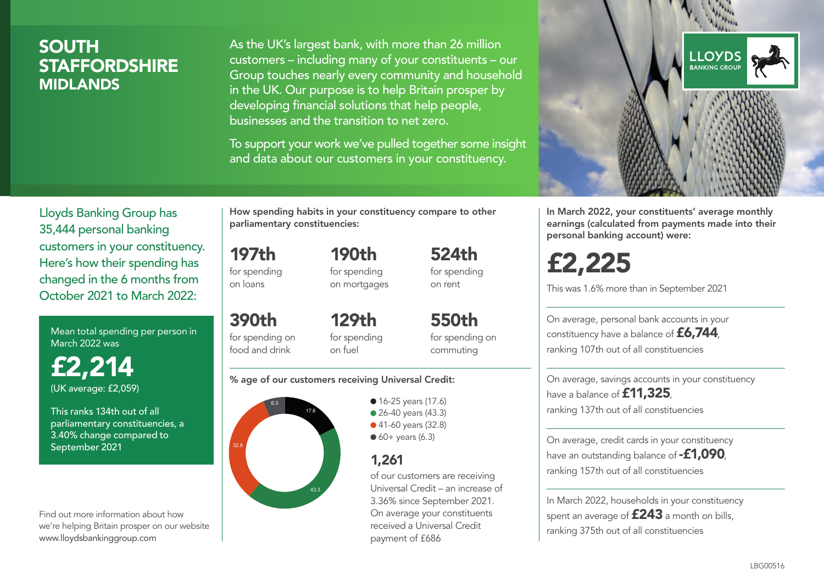## SOUTH **STAFFORDSHIRE** MIDLANDS

As the UK's largest bank, with more than 26 million customers – including many of your constituents – our Group touches nearly every community and household in the UK. Our purpose is to help Britain prosper by developing financial solutions that help people, businesses and the transition to net zero.

To support your work we've pulled together some insight and data about our customers in your constituency.



Mean total spending per person in March 2022 was

£2,214 (UK average: £2,059)

This ranks 134th out of all parliamentary constituencies, a 3.40% change compared to September 2021

Find out more information about how we're helping Britain prosper on our website www.lloydsbankinggroup.com

How spending habits in your constituency compare to other parliamentary constituencies:

> 190th for spending on mortgages

197th for spending on loans

390th for spending on food and drink 129th for spending on fuel

550th for spending on commuting

524th for spending on rent

#### % age of our customers receiving Universal Credit:



• 16-25 years (17.6) • 26-40 years (43.3) ● 41-60 years (32.8)  $60+$  years (6.3)

## 1,261

of our customers are receiving Universal Credit – an increase of 3.36% since September 2021. On average your constituents received a Universal Credit payment of £686



In March 2022, your constituents' average monthly earnings (calculated from payments made into their personal banking account) were:

£2,225

This was 1.6% more than in September 2021

On average, personal bank accounts in your constituency have a balance of £6,744, ranking 107th out of all constituencies

On average, savings accounts in your constituency have a balance of **£11,325** ranking 137th out of all constituencies

On average, credit cards in your constituency have an outstanding balance of  $-£1,090$ . ranking 157th out of all constituencies

In March 2022, households in your constituency spent an average of **£243** a month on bills, ranking 375th out of all constituencies